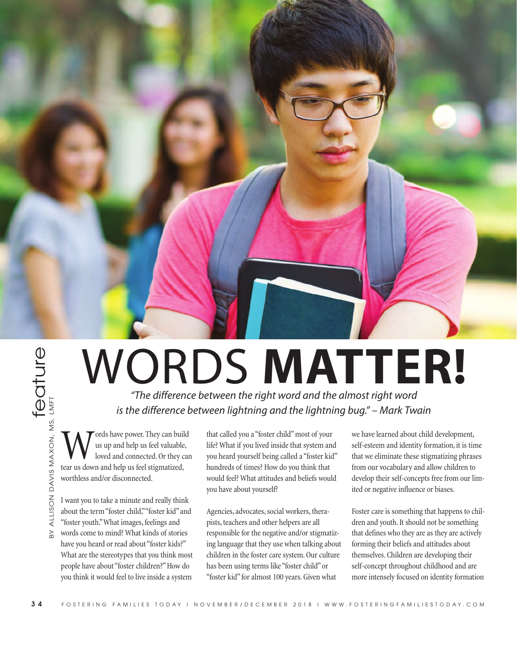

## **3**<br>  $\frac{1}{2}$ <br>  $\frac{1}{2}$ <br>  $\frac{1}{2}$ <br>  $\frac{1}{2}$ <br>  $\frac{1}{2}$ <br>  $\frac{1}{2}$ <br>  $\frac{1}{2}$ <br>  $\frac{1}{2}$ <br>  $\frac{1}{2}$ <br>  $\frac{1}{2}$ <br>  $\frac{1}{2}$ <br>  $\frac{1}{2}$ <br>  $\frac{1}{2}$ <br>  $\frac{1}{2}$ <br>  $\frac{1}{2}$ <br>  $\frac{1}{2}$ <br>  $\frac{1}{2}$ <br>  $\frac{1}{2}$ <br>  $\frac{1}{2}$ <br>  $\frac{1}{2$

*"The difference between the right word and the almost right word is the difference between lightning and the lightning bug." – Mark Twain*

**W** ords have power. They can build<br>loved and connected. Or they can<br>tear us down and help us feel stigmatized us up and help us feel valuable, loved and connected. Or they can **the difference**<br>  $\overrightarrow{CD}$   $\overrightarrow{CD}$ <br>  $\overrightarrow{CD}$   $\overrightarrow{CD}$ <br>  $\overrightarrow{CD}$ <br>  $\overrightarrow{CD}$ <br>  $\overrightarrow{CD}$ <br>  $\overrightarrow{CD}$ <br>  $\overrightarrow{CD}$ <br>  $\overrightarrow{CD}$ <br>  $\overrightarrow{CD}$ <br>  $\overrightarrow{CD}$ <br>  $\overrightarrow{CD}$ <br>  $\overrightarrow{CD}$ <br>  $\overrightarrow{CD}$ <br>  $\overrightarrow{CD}$ <br>  $\overrightarrow{CD}$ <br>  $\overrightarrow{CD}$ <br>  $\overrightarrow{CD}$ <br>  $\overrightarrow{CD}$ <br>  $\overrightarrow{$ worthless and/or disconnected.

I want you to take a minute and really think about the term "foster child," "foster kid" and "foster youth." What images, feelings and

words come to mind? What kinds of stories have you heard or read about "foster kids?" What are the stereotypes that you think most people have about "foster children?" How do you think it would feel to live inside a system

that called you a "foster child" most of your life? What if you lived inside that system and you heard yourself being called a "foster kid" hundreds of times? How do you think that would feel? What attitudes and beliefs would you have about yourself?

Agencies, advocates, social workers, therapists, teachers and other helpers are all responsible for the negative and/or stigmatizing language that they use when talking about children in the foster care system. Our culture has been using terms like "foster child" or "foster kid" for almost 100 years. Given what

we have learned about child development, self-esteem and identity formation, it is time that we eliminate these stigmatizing phrases from our vocabulary and allow children to develop their self-concepts free from our limited or negative influence or biases.

Foster care is something that happens to children and youth. It should not be something that defines who they are as they are actively forming their beliefs and attitudes about themselves. Children are developing their self-concept throughout childhood and are more intensely focused on identity formation